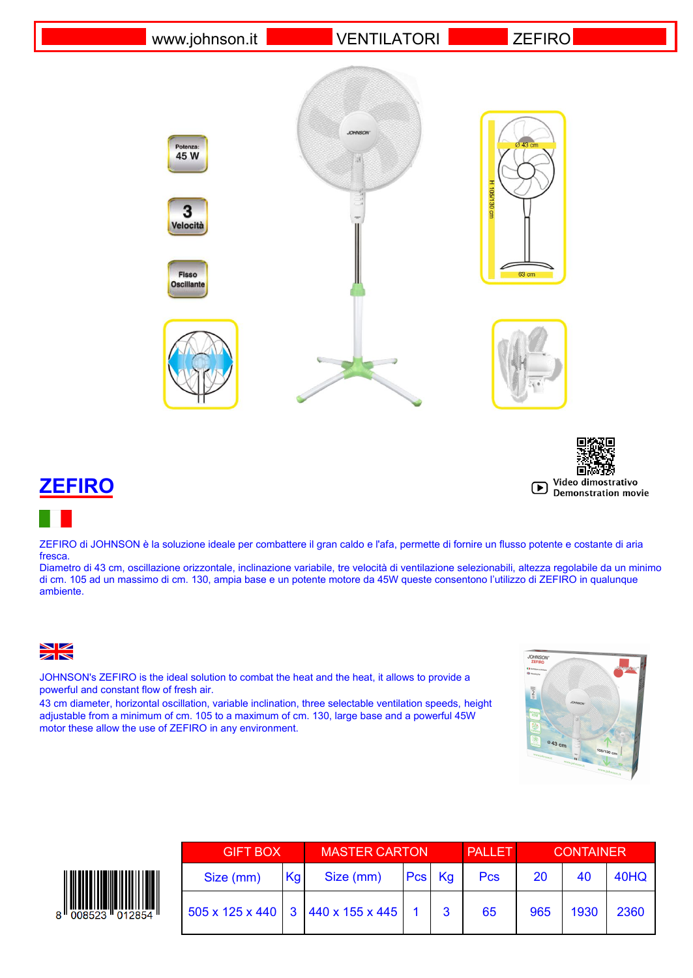www.johnson.it VENTILATORI ZEFIRO



















ZEFIRO di JOHNSON è la soluzione ideale per combattere il gran caldo e l'afa, permette di fornire un flusso potente e costante di aria fresca.

Diametro di 43 cm, oscillazione orizzontale, inclinazione variabile, tre velocità di ventilazione selezionabili, altezza regolabile da un minimo di cm. 105 ad un massimo di cm. 130, ampia base e un potente motore da 45W queste consentono l'utilizzo di ZEFIRO in qualunque ambiente.

 $\frac{N}{N}$ 

JOHNSON's ZEFIRO is the ideal solution to combat the heat and the heat, it allows to provide a powerful and constant flow of fresh air.

43 cm diameter, horizontal oscillation, variable inclination, three selectable ventilation speeds, height adjustable from a minimum of cm. 105 to a maximum of cm. 130, large base and a powerful 45W motor these allow the use of ZEFIRO in any environment.





| <b>GIFT BOX</b> |    | <b>MASTER CARTON</b>              |        |   | <b>PALLET</b> | <b>CONTAINER</b> |      |      |
|-----------------|----|-----------------------------------|--------|---|---------------|------------------|------|------|
| Size (mm)       | Kg | Size (mm)                         | Pcs Kg |   | <b>Pcs</b>    | 20               | 40   | 40HQ |
|                 |    | 505 x 125 x 440 3 440 x 155 x 445 |        | 3 | 65            | 965              | 1930 | 2360 |